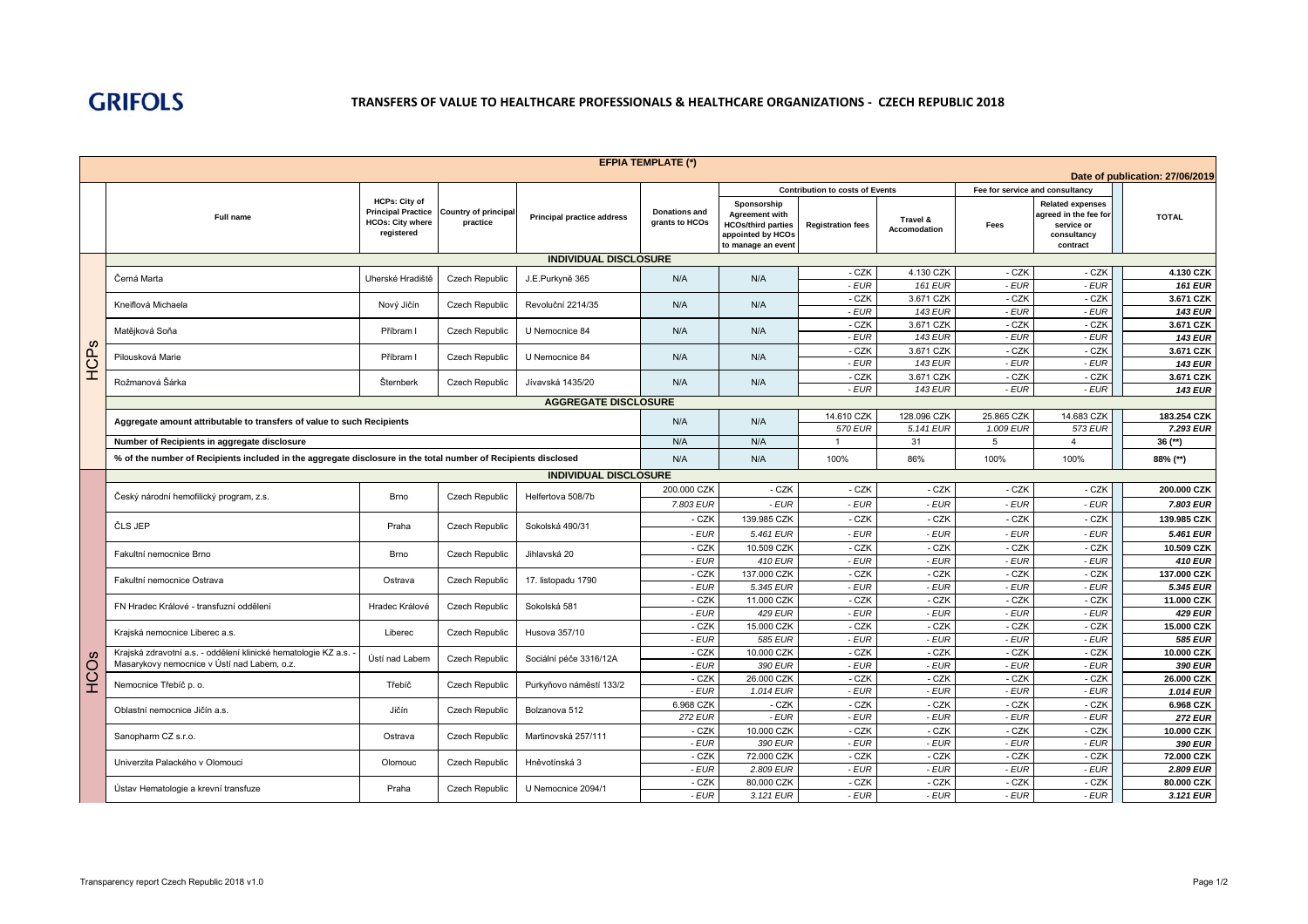

| <b>Contribution to costs of Events</b><br>Fee for service and consultancy<br><b>HCPs: City of</b><br>Sponsorship<br><b>Related expenses</b><br><b>Principal Practice</b><br><b>Country of principal</b><br><b>Donations and</b><br><b>Agreement with</b><br>agreed in the fee for<br><b>TOTAL</b><br>Full name<br><b>Principal practice address</b><br>Travel &<br><b>HCOs: City where</b><br>practice<br>grants to HCOs<br><b>HCOs/third parties</b><br><b>Registration fees</b><br>Fees<br>service or<br>Accomodation<br>reaistered<br>appointed by HCOs<br>consultancy<br>to manage an event<br>contract<br><b>INDIVIDUAL DISCLOSURE</b><br>- CZK<br>4.130 CZK<br>- CZK<br>- CZK<br>4.130 CZK<br>N/A<br>N/A<br>Černá Marta<br>Uherské Hradiště<br><b>Czech Republic</b><br>J.E.Purkyně 365<br>$-EUR$<br>$-EUR$<br><b>161 EUR</b><br>- EUR<br><b>161 EUR</b><br>- CZK<br>- CZK<br>3.671 CZK<br>- CZK<br>3.671 CZK<br>Kneiflová Michaela<br>Nový Jičín<br><b>Czech Republic</b><br>Revoluční 2214/35<br>N/A<br>N/A<br>- EUR<br><b>143 EUR</b><br>- EUR<br>- EUR<br><b>143 EUR</b><br>$-CZK$<br>$-CZK$<br>$-CZK$<br>3.671 CZK<br>3.671 CZK<br>Matějková Soňa<br>N/A<br>N/A<br>Příbram I<br><b>Czech Republic</b><br>U Nemocnice 84<br>$-EUR$<br><b>143 EUR</b><br>- EUR<br>$-EUR$<br><b>143 EUR</b><br>HCPS<br>- CZK<br>3.671 CZK<br>- CZK<br>- CZK<br>3.671 CZK<br><b>Czech Republic</b><br>N/A<br>N/A<br>Pilousková Marie<br>Příbram I<br>U Nemocnice 84<br>$-EUR$<br>- EUR<br><b>143 EUR</b><br>- EUR<br><b>143 EUR</b><br>- CZK<br>3.671 CZK<br>- CZK<br>- CZK<br>3.671 CZK<br>Rožmanová Šárka<br>Šternberk<br><b>Czech Republic</b><br>Jívavská 1435/20<br>N/A<br>N/A<br>$-EUR$<br><b>143 EUR</b><br>- EUR<br>- EUR<br><b>143 EUR</b><br><b>AGGREGATE DISCLOSURE</b><br>14.610 CZK<br>128.096 CZK<br>25.865 CZK<br>14.683 CZK<br>183.254 CZK<br>N/A<br>N/A<br>Aggregate amount attributable to transfers of value to such Recipients<br><b>573 EUR</b><br><b>570 EUR</b><br>5.141 EUR<br>1.009 EUR<br>7.293 EUR<br>Number of Recipients in aggregate disclosure<br>N/A<br>N/A<br>31<br>5<br>$\overline{4}$<br>$36$ (**)<br>$\overline{1}$<br>% of the number of Recipients included in the aggregate disclosure in the total number of Recipients disclosed<br>N/A<br>N/A<br>100%<br>86%<br>100%<br>100%<br>88% (**)<br><b>INDIVIDUAL DISCLOSURE</b><br>- CZK<br>200.000 CZK<br>- CZK<br>- CZK<br>- CZK<br>- CZK<br>200,000 CZK<br>Český národní hemofilický program, z.s.<br><b>Brno</b><br>Czech Republic<br>Helfertova 508/7b<br>- EUR<br>$-EUR$<br>- EUR<br>$-EUR$<br>$-EUR$<br>7.803 EUR<br>7.803 EUR<br>139.985 CZK<br>- CZK<br>- CZK<br>- CZK<br>- CZK<br>- CZK<br>139.985 CZK<br>ČLS JEP<br>Praha<br>Czech Republic<br>Sokolská 490/31<br>- EUR<br>5.461 EUR<br>- EUR<br>- EUR<br>- EUR<br>$-EUR$<br>5.461 EUR<br>- CZK<br>- CZK<br>- CZK<br>- CZK<br>- CZK<br>10.509 CZK<br>10.509 CZK<br>Fakultní nemocnice Brno<br><b>Brno</b><br><b>Czech Republic</b><br>Jihlavská 20<br>$410$ EUR<br>- EUR<br>- EUR<br>$-EUR$<br>$-EUR$<br><b>410 EUR</b><br>- EUR<br>- CZK<br>- CZK<br>- CZK<br>- CZK<br>137.000 CZK<br>- CZK<br>137.000 CZK<br>Fakultní nemocnice Ostrava<br><b>Czech Republic</b><br>17. listopadu 1790<br>Ostrava<br>$-EUR$<br>5.345 EUR<br>- EUR<br>- EUR<br>- EUR<br>$-EUR$<br>5.345 EUR<br>- CZK<br>11,000 CZK<br>$-CZK$<br>- CZK<br>- CZK<br>- CZK<br>11.000 CZK<br>FN Hradec Králové - transfuzní oddělení<br>Czech Republic<br>Sokolská 581<br>Hradec Králové<br><b>429 EUR</b><br>- EUR<br>- EUR<br>$-EUR$<br>$-EUR$<br><b>429 EUR</b><br>- EUR<br>- CZK<br>- CZK<br>- CZK<br>- CZK<br>- CZK<br>15.000 CZK<br>15.000 CZK<br>Czech Republic<br>Krajská nemocnice Liberec a.s.<br>Liberec<br>Husova 357/10<br>- EUR<br>- EUR<br>585 EUR<br>- EUR<br>- EUR<br>- EUR<br>585 EUR<br>10.000 CZK<br>- CZK<br>- CZK<br>- CZK<br>- CZK<br>- CZK<br>10.000 CZK<br>Krajská zdravotní a.s. - oddělení klinické hematologie KZ a.s.<br>ဖ<br>Ústí nad Labem<br><b>Czech Republic</b><br>Sociální péče 3316/12A<br>Ö<br>H<br>Masarykovy nemocnice v Ústí nad Labem, o.z.<br>- EUR<br>390 EUR<br>- EUR<br>- EUR<br>- EUR<br>$-EUR$<br>390 EUR<br>- CZK<br>- CZK<br>- CZK<br>- CZK<br>- CZK<br>26.000 CZK<br>26.000 CZK<br>Nemocnice Třebíč p. o.<br>Třebíč<br><b>Czech Republic</b><br>Purkyňovo náměstí 133/2<br>- EUR<br>1.014 EUR<br>- EUR<br>- EUR<br>- EUR<br>- EUR<br>1.014 EUR<br>- CZK<br>- CZK<br>6.968 CZK<br>- CZK<br>- CZK<br>- CZK<br>6.968 CZK<br>Jičín<br>Oblastní nemocnice Jičín a.s.<br><b>Czech Republic</b><br>Bolzanova 512<br>- EUR<br>- EUR<br>- EUR<br>- EUR<br>$-EUR$<br><b>272 EUR</b><br><b>272 EUR</b> |  |                                            |         |                       |                     | <b>EFPIA TEMPLATE (*)</b> |            |       |       |       |       | Date of publication: 27/06/2019 |
|--------------------------------------------------------------------------------------------------------------------------------------------------------------------------------------------------------------------------------------------------------------------------------------------------------------------------------------------------------------------------------------------------------------------------------------------------------------------------------------------------------------------------------------------------------------------------------------------------------------------------------------------------------------------------------------------------------------------------------------------------------------------------------------------------------------------------------------------------------------------------------------------------------------------------------------------------------------------------------------------------------------------------------------------------------------------------------------------------------------------------------------------------------------------------------------------------------------------------------------------------------------------------------------------------------------------------------------------------------------------------------------------------------------------------------------------------------------------------------------------------------------------------------------------------------------------------------------------------------------------------------------------------------------------------------------------------------------------------------------------------------------------------------------------------------------------------------------------------------------------------------------------------------------------------------------------------------------------------------------------------------------------------------------------------------------------------------------------------------------------------------------------------------------------------------------------------------------------------------------------------------------------------------------------------------------------------------------------------------------------------------------------------------------------------------------------------------------------------------------------------------------------------------------------------------------------------------------------------------------------------------------------------------------------------------------------------------------------------------------------------------------------------------------------------------------------------------------------------------------------------------------------------------------------------------------------------------------------------------------------------------------------------------------------------------------------------------------------------------------------------------------------------------------------------------------------------------------------------------------------------------------------------------------------------------------------------------------------------------------------------------------------------------------------------------------------------------------------------------------------------------------------------------------------------------------------------------------------------------------------------------------------------------------------------------------------------------------------------------------------------------------------------------------------------------------------------------------------------------------------------------------------------------------------------------------------------------------------------------------------------------------------------------------------------------------------------------------------------------------------------------------------------------------------------------------------------------------------------------------------------------------------------------------------------------------------------------------------------------------------------------------------------------------------------------------------------------------------------------------------------------------------------------------------------------------------------------------------------------------------------------------------------|--|--------------------------------------------|---------|-----------------------|---------------------|---------------------------|------------|-------|-------|-------|-------|---------------------------------|
|                                                                                                                                                                                                                                                                                                                                                                                                                                                                                                                                                                                                                                                                                                                                                                                                                                                                                                                                                                                                                                                                                                                                                                                                                                                                                                                                                                                                                                                                                                                                                                                                                                                                                                                                                                                                                                                                                                                                                                                                                                                                                                                                                                                                                                                                                                                                                                                                                                                                                                                                                                                                                                                                                                                                                                                                                                                                                                                                                                                                                                                                                                                                                                                                                                                                                                                                                                                                                                                                                                                                                                                                                                                                                                                                                                                                                                                                                                                                                                                                                                                                                                                                                                                                                                                                                                                                                                                                                                                                                                                                                                                                                                                  |  |                                            |         |                       |                     |                           |            |       |       |       |       |                                 |
|                                                                                                                                                                                                                                                                                                                                                                                                                                                                                                                                                                                                                                                                                                                                                                                                                                                                                                                                                                                                                                                                                                                                                                                                                                                                                                                                                                                                                                                                                                                                                                                                                                                                                                                                                                                                                                                                                                                                                                                                                                                                                                                                                                                                                                                                                                                                                                                                                                                                                                                                                                                                                                                                                                                                                                                                                                                                                                                                                                                                                                                                                                                                                                                                                                                                                                                                                                                                                                                                                                                                                                                                                                                                                                                                                                                                                                                                                                                                                                                                                                                                                                                                                                                                                                                                                                                                                                                                                                                                                                                                                                                                                                                  |  |                                            |         |                       |                     |                           |            |       |       |       |       |                                 |
|                                                                                                                                                                                                                                                                                                                                                                                                                                                                                                                                                                                                                                                                                                                                                                                                                                                                                                                                                                                                                                                                                                                                                                                                                                                                                                                                                                                                                                                                                                                                                                                                                                                                                                                                                                                                                                                                                                                                                                                                                                                                                                                                                                                                                                                                                                                                                                                                                                                                                                                                                                                                                                                                                                                                                                                                                                                                                                                                                                                                                                                                                                                                                                                                                                                                                                                                                                                                                                                                                                                                                                                                                                                                                                                                                                                                                                                                                                                                                                                                                                                                                                                                                                                                                                                                                                                                                                                                                                                                                                                                                                                                                                                  |  |                                            |         |                       |                     |                           |            |       |       |       |       |                                 |
|                                                                                                                                                                                                                                                                                                                                                                                                                                                                                                                                                                                                                                                                                                                                                                                                                                                                                                                                                                                                                                                                                                                                                                                                                                                                                                                                                                                                                                                                                                                                                                                                                                                                                                                                                                                                                                                                                                                                                                                                                                                                                                                                                                                                                                                                                                                                                                                                                                                                                                                                                                                                                                                                                                                                                                                                                                                                                                                                                                                                                                                                                                                                                                                                                                                                                                                                                                                                                                                                                                                                                                                                                                                                                                                                                                                                                                                                                                                                                                                                                                                                                                                                                                                                                                                                                                                                                                                                                                                                                                                                                                                                                                                  |  |                                            |         |                       |                     |                           |            |       |       |       |       |                                 |
|                                                                                                                                                                                                                                                                                                                                                                                                                                                                                                                                                                                                                                                                                                                                                                                                                                                                                                                                                                                                                                                                                                                                                                                                                                                                                                                                                                                                                                                                                                                                                                                                                                                                                                                                                                                                                                                                                                                                                                                                                                                                                                                                                                                                                                                                                                                                                                                                                                                                                                                                                                                                                                                                                                                                                                                                                                                                                                                                                                                                                                                                                                                                                                                                                                                                                                                                                                                                                                                                                                                                                                                                                                                                                                                                                                                                                                                                                                                                                                                                                                                                                                                                                                                                                                                                                                                                                                                                                                                                                                                                                                                                                                                  |  |                                            |         |                       |                     |                           |            |       |       |       |       |                                 |
|                                                                                                                                                                                                                                                                                                                                                                                                                                                                                                                                                                                                                                                                                                                                                                                                                                                                                                                                                                                                                                                                                                                                                                                                                                                                                                                                                                                                                                                                                                                                                                                                                                                                                                                                                                                                                                                                                                                                                                                                                                                                                                                                                                                                                                                                                                                                                                                                                                                                                                                                                                                                                                                                                                                                                                                                                                                                                                                                                                                                                                                                                                                                                                                                                                                                                                                                                                                                                                                                                                                                                                                                                                                                                                                                                                                                                                                                                                                                                                                                                                                                                                                                                                                                                                                                                                                                                                                                                                                                                                                                                                                                                                                  |  |                                            |         |                       |                     |                           |            |       |       |       |       |                                 |
|                                                                                                                                                                                                                                                                                                                                                                                                                                                                                                                                                                                                                                                                                                                                                                                                                                                                                                                                                                                                                                                                                                                                                                                                                                                                                                                                                                                                                                                                                                                                                                                                                                                                                                                                                                                                                                                                                                                                                                                                                                                                                                                                                                                                                                                                                                                                                                                                                                                                                                                                                                                                                                                                                                                                                                                                                                                                                                                                                                                                                                                                                                                                                                                                                                                                                                                                                                                                                                                                                                                                                                                                                                                                                                                                                                                                                                                                                                                                                                                                                                                                                                                                                                                                                                                                                                                                                                                                                                                                                                                                                                                                                                                  |  |                                            |         |                       |                     |                           |            |       |       |       |       |                                 |
|                                                                                                                                                                                                                                                                                                                                                                                                                                                                                                                                                                                                                                                                                                                                                                                                                                                                                                                                                                                                                                                                                                                                                                                                                                                                                                                                                                                                                                                                                                                                                                                                                                                                                                                                                                                                                                                                                                                                                                                                                                                                                                                                                                                                                                                                                                                                                                                                                                                                                                                                                                                                                                                                                                                                                                                                                                                                                                                                                                                                                                                                                                                                                                                                                                                                                                                                                                                                                                                                                                                                                                                                                                                                                                                                                                                                                                                                                                                                                                                                                                                                                                                                                                                                                                                                                                                                                                                                                                                                                                                                                                                                                                                  |  |                                            |         |                       |                     |                           |            |       |       |       |       |                                 |
|                                                                                                                                                                                                                                                                                                                                                                                                                                                                                                                                                                                                                                                                                                                                                                                                                                                                                                                                                                                                                                                                                                                                                                                                                                                                                                                                                                                                                                                                                                                                                                                                                                                                                                                                                                                                                                                                                                                                                                                                                                                                                                                                                                                                                                                                                                                                                                                                                                                                                                                                                                                                                                                                                                                                                                                                                                                                                                                                                                                                                                                                                                                                                                                                                                                                                                                                                                                                                                                                                                                                                                                                                                                                                                                                                                                                                                                                                                                                                                                                                                                                                                                                                                                                                                                                                                                                                                                                                                                                                                                                                                                                                                                  |  |                                            |         |                       |                     |                           |            |       |       |       |       |                                 |
|                                                                                                                                                                                                                                                                                                                                                                                                                                                                                                                                                                                                                                                                                                                                                                                                                                                                                                                                                                                                                                                                                                                                                                                                                                                                                                                                                                                                                                                                                                                                                                                                                                                                                                                                                                                                                                                                                                                                                                                                                                                                                                                                                                                                                                                                                                                                                                                                                                                                                                                                                                                                                                                                                                                                                                                                                                                                                                                                                                                                                                                                                                                                                                                                                                                                                                                                                                                                                                                                                                                                                                                                                                                                                                                                                                                                                                                                                                                                                                                                                                                                                                                                                                                                                                                                                                                                                                                                                                                                                                                                                                                                                                                  |  |                                            |         |                       |                     |                           |            |       |       |       |       |                                 |
|                                                                                                                                                                                                                                                                                                                                                                                                                                                                                                                                                                                                                                                                                                                                                                                                                                                                                                                                                                                                                                                                                                                                                                                                                                                                                                                                                                                                                                                                                                                                                                                                                                                                                                                                                                                                                                                                                                                                                                                                                                                                                                                                                                                                                                                                                                                                                                                                                                                                                                                                                                                                                                                                                                                                                                                                                                                                                                                                                                                                                                                                                                                                                                                                                                                                                                                                                                                                                                                                                                                                                                                                                                                                                                                                                                                                                                                                                                                                                                                                                                                                                                                                                                                                                                                                                                                                                                                                                                                                                                                                                                                                                                                  |  |                                            |         |                       |                     |                           |            |       |       |       |       |                                 |
|                                                                                                                                                                                                                                                                                                                                                                                                                                                                                                                                                                                                                                                                                                                                                                                                                                                                                                                                                                                                                                                                                                                                                                                                                                                                                                                                                                                                                                                                                                                                                                                                                                                                                                                                                                                                                                                                                                                                                                                                                                                                                                                                                                                                                                                                                                                                                                                                                                                                                                                                                                                                                                                                                                                                                                                                                                                                                                                                                                                                                                                                                                                                                                                                                                                                                                                                                                                                                                                                                                                                                                                                                                                                                                                                                                                                                                                                                                                                                                                                                                                                                                                                                                                                                                                                                                                                                                                                                                                                                                                                                                                                                                                  |  |                                            |         |                       |                     |                           |            |       |       |       |       |                                 |
|                                                                                                                                                                                                                                                                                                                                                                                                                                                                                                                                                                                                                                                                                                                                                                                                                                                                                                                                                                                                                                                                                                                                                                                                                                                                                                                                                                                                                                                                                                                                                                                                                                                                                                                                                                                                                                                                                                                                                                                                                                                                                                                                                                                                                                                                                                                                                                                                                                                                                                                                                                                                                                                                                                                                                                                                                                                                                                                                                                                                                                                                                                                                                                                                                                                                                                                                                                                                                                                                                                                                                                                                                                                                                                                                                                                                                                                                                                                                                                                                                                                                                                                                                                                                                                                                                                                                                                                                                                                                                                                                                                                                                                                  |  |                                            |         |                       |                     |                           |            |       |       |       |       |                                 |
|                                                                                                                                                                                                                                                                                                                                                                                                                                                                                                                                                                                                                                                                                                                                                                                                                                                                                                                                                                                                                                                                                                                                                                                                                                                                                                                                                                                                                                                                                                                                                                                                                                                                                                                                                                                                                                                                                                                                                                                                                                                                                                                                                                                                                                                                                                                                                                                                                                                                                                                                                                                                                                                                                                                                                                                                                                                                                                                                                                                                                                                                                                                                                                                                                                                                                                                                                                                                                                                                                                                                                                                                                                                                                                                                                                                                                                                                                                                                                                                                                                                                                                                                                                                                                                                                                                                                                                                                                                                                                                                                                                                                                                                  |  |                                            |         |                       |                     |                           |            |       |       |       |       |                                 |
|                                                                                                                                                                                                                                                                                                                                                                                                                                                                                                                                                                                                                                                                                                                                                                                                                                                                                                                                                                                                                                                                                                                                                                                                                                                                                                                                                                                                                                                                                                                                                                                                                                                                                                                                                                                                                                                                                                                                                                                                                                                                                                                                                                                                                                                                                                                                                                                                                                                                                                                                                                                                                                                                                                                                                                                                                                                                                                                                                                                                                                                                                                                                                                                                                                                                                                                                                                                                                                                                                                                                                                                                                                                                                                                                                                                                                                                                                                                                                                                                                                                                                                                                                                                                                                                                                                                                                                                                                                                                                                                                                                                                                                                  |  |                                            |         |                       |                     |                           |            |       |       |       |       |                                 |
|                                                                                                                                                                                                                                                                                                                                                                                                                                                                                                                                                                                                                                                                                                                                                                                                                                                                                                                                                                                                                                                                                                                                                                                                                                                                                                                                                                                                                                                                                                                                                                                                                                                                                                                                                                                                                                                                                                                                                                                                                                                                                                                                                                                                                                                                                                                                                                                                                                                                                                                                                                                                                                                                                                                                                                                                                                                                                                                                                                                                                                                                                                                                                                                                                                                                                                                                                                                                                                                                                                                                                                                                                                                                                                                                                                                                                                                                                                                                                                                                                                                                                                                                                                                                                                                                                                                                                                                                                                                                                                                                                                                                                                                  |  |                                            |         |                       |                     |                           |            |       |       |       |       |                                 |
|                                                                                                                                                                                                                                                                                                                                                                                                                                                                                                                                                                                                                                                                                                                                                                                                                                                                                                                                                                                                                                                                                                                                                                                                                                                                                                                                                                                                                                                                                                                                                                                                                                                                                                                                                                                                                                                                                                                                                                                                                                                                                                                                                                                                                                                                                                                                                                                                                                                                                                                                                                                                                                                                                                                                                                                                                                                                                                                                                                                                                                                                                                                                                                                                                                                                                                                                                                                                                                                                                                                                                                                                                                                                                                                                                                                                                                                                                                                                                                                                                                                                                                                                                                                                                                                                                                                                                                                                                                                                                                                                                                                                                                                  |  |                                            |         |                       |                     |                           |            |       |       |       |       |                                 |
|                                                                                                                                                                                                                                                                                                                                                                                                                                                                                                                                                                                                                                                                                                                                                                                                                                                                                                                                                                                                                                                                                                                                                                                                                                                                                                                                                                                                                                                                                                                                                                                                                                                                                                                                                                                                                                                                                                                                                                                                                                                                                                                                                                                                                                                                                                                                                                                                                                                                                                                                                                                                                                                                                                                                                                                                                                                                                                                                                                                                                                                                                                                                                                                                                                                                                                                                                                                                                                                                                                                                                                                                                                                                                                                                                                                                                                                                                                                                                                                                                                                                                                                                                                                                                                                                                                                                                                                                                                                                                                                                                                                                                                                  |  |                                            |         |                       |                     |                           |            |       |       |       |       |                                 |
|                                                                                                                                                                                                                                                                                                                                                                                                                                                                                                                                                                                                                                                                                                                                                                                                                                                                                                                                                                                                                                                                                                                                                                                                                                                                                                                                                                                                                                                                                                                                                                                                                                                                                                                                                                                                                                                                                                                                                                                                                                                                                                                                                                                                                                                                                                                                                                                                                                                                                                                                                                                                                                                                                                                                                                                                                                                                                                                                                                                                                                                                                                                                                                                                                                                                                                                                                                                                                                                                                                                                                                                                                                                                                                                                                                                                                                                                                                                                                                                                                                                                                                                                                                                                                                                                                                                                                                                                                                                                                                                                                                                                                                                  |  |                                            |         |                       |                     |                           |            |       |       |       |       |                                 |
|                                                                                                                                                                                                                                                                                                                                                                                                                                                                                                                                                                                                                                                                                                                                                                                                                                                                                                                                                                                                                                                                                                                                                                                                                                                                                                                                                                                                                                                                                                                                                                                                                                                                                                                                                                                                                                                                                                                                                                                                                                                                                                                                                                                                                                                                                                                                                                                                                                                                                                                                                                                                                                                                                                                                                                                                                                                                                                                                                                                                                                                                                                                                                                                                                                                                                                                                                                                                                                                                                                                                                                                                                                                                                                                                                                                                                                                                                                                                                                                                                                                                                                                                                                                                                                                                                                                                                                                                                                                                                                                                                                                                                                                  |  |                                            |         |                       |                     |                           |            |       |       |       |       |                                 |
|                                                                                                                                                                                                                                                                                                                                                                                                                                                                                                                                                                                                                                                                                                                                                                                                                                                                                                                                                                                                                                                                                                                                                                                                                                                                                                                                                                                                                                                                                                                                                                                                                                                                                                                                                                                                                                                                                                                                                                                                                                                                                                                                                                                                                                                                                                                                                                                                                                                                                                                                                                                                                                                                                                                                                                                                                                                                                                                                                                                                                                                                                                                                                                                                                                                                                                                                                                                                                                                                                                                                                                                                                                                                                                                                                                                                                                                                                                                                                                                                                                                                                                                                                                                                                                                                                                                                                                                                                                                                                                                                                                                                                                                  |  |                                            |         |                       |                     |                           |            |       |       |       |       |                                 |
|                                                                                                                                                                                                                                                                                                                                                                                                                                                                                                                                                                                                                                                                                                                                                                                                                                                                                                                                                                                                                                                                                                                                                                                                                                                                                                                                                                                                                                                                                                                                                                                                                                                                                                                                                                                                                                                                                                                                                                                                                                                                                                                                                                                                                                                                                                                                                                                                                                                                                                                                                                                                                                                                                                                                                                                                                                                                                                                                                                                                                                                                                                                                                                                                                                                                                                                                                                                                                                                                                                                                                                                                                                                                                                                                                                                                                                                                                                                                                                                                                                                                                                                                                                                                                                                                                                                                                                                                                                                                                                                                                                                                                                                  |  |                                            |         |                       |                     |                           |            |       |       |       |       |                                 |
|                                                                                                                                                                                                                                                                                                                                                                                                                                                                                                                                                                                                                                                                                                                                                                                                                                                                                                                                                                                                                                                                                                                                                                                                                                                                                                                                                                                                                                                                                                                                                                                                                                                                                                                                                                                                                                                                                                                                                                                                                                                                                                                                                                                                                                                                                                                                                                                                                                                                                                                                                                                                                                                                                                                                                                                                                                                                                                                                                                                                                                                                                                                                                                                                                                                                                                                                                                                                                                                                                                                                                                                                                                                                                                                                                                                                                                                                                                                                                                                                                                                                                                                                                                                                                                                                                                                                                                                                                                                                                                                                                                                                                                                  |  |                                            |         |                       |                     |                           |            |       |       |       |       |                                 |
|                                                                                                                                                                                                                                                                                                                                                                                                                                                                                                                                                                                                                                                                                                                                                                                                                                                                                                                                                                                                                                                                                                                                                                                                                                                                                                                                                                                                                                                                                                                                                                                                                                                                                                                                                                                                                                                                                                                                                                                                                                                                                                                                                                                                                                                                                                                                                                                                                                                                                                                                                                                                                                                                                                                                                                                                                                                                                                                                                                                                                                                                                                                                                                                                                                                                                                                                                                                                                                                                                                                                                                                                                                                                                                                                                                                                                                                                                                                                                                                                                                                                                                                                                                                                                                                                                                                                                                                                                                                                                                                                                                                                                                                  |  |                                            |         |                       |                     |                           |            |       |       |       |       |                                 |
|                                                                                                                                                                                                                                                                                                                                                                                                                                                                                                                                                                                                                                                                                                                                                                                                                                                                                                                                                                                                                                                                                                                                                                                                                                                                                                                                                                                                                                                                                                                                                                                                                                                                                                                                                                                                                                                                                                                                                                                                                                                                                                                                                                                                                                                                                                                                                                                                                                                                                                                                                                                                                                                                                                                                                                                                                                                                                                                                                                                                                                                                                                                                                                                                                                                                                                                                                                                                                                                                                                                                                                                                                                                                                                                                                                                                                                                                                                                                                                                                                                                                                                                                                                                                                                                                                                                                                                                                                                                                                                                                                                                                                                                  |  |                                            |         |                       |                     |                           |            |       |       |       |       |                                 |
|                                                                                                                                                                                                                                                                                                                                                                                                                                                                                                                                                                                                                                                                                                                                                                                                                                                                                                                                                                                                                                                                                                                                                                                                                                                                                                                                                                                                                                                                                                                                                                                                                                                                                                                                                                                                                                                                                                                                                                                                                                                                                                                                                                                                                                                                                                                                                                                                                                                                                                                                                                                                                                                                                                                                                                                                                                                                                                                                                                                                                                                                                                                                                                                                                                                                                                                                                                                                                                                                                                                                                                                                                                                                                                                                                                                                                                                                                                                                                                                                                                                                                                                                                                                                                                                                                                                                                                                                                                                                                                                                                                                                                                                  |  |                                            |         |                       |                     |                           |            |       |       |       |       |                                 |
|                                                                                                                                                                                                                                                                                                                                                                                                                                                                                                                                                                                                                                                                                                                                                                                                                                                                                                                                                                                                                                                                                                                                                                                                                                                                                                                                                                                                                                                                                                                                                                                                                                                                                                                                                                                                                                                                                                                                                                                                                                                                                                                                                                                                                                                                                                                                                                                                                                                                                                                                                                                                                                                                                                                                                                                                                                                                                                                                                                                                                                                                                                                                                                                                                                                                                                                                                                                                                                                                                                                                                                                                                                                                                                                                                                                                                                                                                                                                                                                                                                                                                                                                                                                                                                                                                                                                                                                                                                                                                                                                                                                                                                                  |  |                                            |         |                       |                     |                           |            |       |       |       |       |                                 |
|                                                                                                                                                                                                                                                                                                                                                                                                                                                                                                                                                                                                                                                                                                                                                                                                                                                                                                                                                                                                                                                                                                                                                                                                                                                                                                                                                                                                                                                                                                                                                                                                                                                                                                                                                                                                                                                                                                                                                                                                                                                                                                                                                                                                                                                                                                                                                                                                                                                                                                                                                                                                                                                                                                                                                                                                                                                                                                                                                                                                                                                                                                                                                                                                                                                                                                                                                                                                                                                                                                                                                                                                                                                                                                                                                                                                                                                                                                                                                                                                                                                                                                                                                                                                                                                                                                                                                                                                                                                                                                                                                                                                                                                  |  |                                            |         |                       |                     |                           |            |       |       |       |       |                                 |
|                                                                                                                                                                                                                                                                                                                                                                                                                                                                                                                                                                                                                                                                                                                                                                                                                                                                                                                                                                                                                                                                                                                                                                                                                                                                                                                                                                                                                                                                                                                                                                                                                                                                                                                                                                                                                                                                                                                                                                                                                                                                                                                                                                                                                                                                                                                                                                                                                                                                                                                                                                                                                                                                                                                                                                                                                                                                                                                                                                                                                                                                                                                                                                                                                                                                                                                                                                                                                                                                                                                                                                                                                                                                                                                                                                                                                                                                                                                                                                                                                                                                                                                                                                                                                                                                                                                                                                                                                                                                                                                                                                                                                                                  |  |                                            |         |                       |                     |                           |            |       |       |       |       |                                 |
|                                                                                                                                                                                                                                                                                                                                                                                                                                                                                                                                                                                                                                                                                                                                                                                                                                                                                                                                                                                                                                                                                                                                                                                                                                                                                                                                                                                                                                                                                                                                                                                                                                                                                                                                                                                                                                                                                                                                                                                                                                                                                                                                                                                                                                                                                                                                                                                                                                                                                                                                                                                                                                                                                                                                                                                                                                                                                                                                                                                                                                                                                                                                                                                                                                                                                                                                                                                                                                                                                                                                                                                                                                                                                                                                                                                                                                                                                                                                                                                                                                                                                                                                                                                                                                                                                                                                                                                                                                                                                                                                                                                                                                                  |  |                                            |         |                       |                     |                           |            |       |       |       |       |                                 |
|                                                                                                                                                                                                                                                                                                                                                                                                                                                                                                                                                                                                                                                                                                                                                                                                                                                                                                                                                                                                                                                                                                                                                                                                                                                                                                                                                                                                                                                                                                                                                                                                                                                                                                                                                                                                                                                                                                                                                                                                                                                                                                                                                                                                                                                                                                                                                                                                                                                                                                                                                                                                                                                                                                                                                                                                                                                                                                                                                                                                                                                                                                                                                                                                                                                                                                                                                                                                                                                                                                                                                                                                                                                                                                                                                                                                                                                                                                                                                                                                                                                                                                                                                                                                                                                                                                                                                                                                                                                                                                                                                                                                                                                  |  |                                            |         |                       |                     |                           |            |       |       |       |       |                                 |
|                                                                                                                                                                                                                                                                                                                                                                                                                                                                                                                                                                                                                                                                                                                                                                                                                                                                                                                                                                                                                                                                                                                                                                                                                                                                                                                                                                                                                                                                                                                                                                                                                                                                                                                                                                                                                                                                                                                                                                                                                                                                                                                                                                                                                                                                                                                                                                                                                                                                                                                                                                                                                                                                                                                                                                                                                                                                                                                                                                                                                                                                                                                                                                                                                                                                                                                                                                                                                                                                                                                                                                                                                                                                                                                                                                                                                                                                                                                                                                                                                                                                                                                                                                                                                                                                                                                                                                                                                                                                                                                                                                                                                                                  |  |                                            |         |                       |                     |                           |            |       |       |       |       |                                 |
|                                                                                                                                                                                                                                                                                                                                                                                                                                                                                                                                                                                                                                                                                                                                                                                                                                                                                                                                                                                                                                                                                                                                                                                                                                                                                                                                                                                                                                                                                                                                                                                                                                                                                                                                                                                                                                                                                                                                                                                                                                                                                                                                                                                                                                                                                                                                                                                                                                                                                                                                                                                                                                                                                                                                                                                                                                                                                                                                                                                                                                                                                                                                                                                                                                                                                                                                                                                                                                                                                                                                                                                                                                                                                                                                                                                                                                                                                                                                                                                                                                                                                                                                                                                                                                                                                                                                                                                                                                                                                                                                                                                                                                                  |  |                                            |         |                       |                     |                           |            |       |       |       |       |                                 |
| 10.000 CZK                                                                                                                                                                                                                                                                                                                                                                                                                                                                                                                                                                                                                                                                                                                                                                                                                                                                                                                                                                                                                                                                                                                                                                                                                                                                                                                                                                                                                                                                                                                                                                                                                                                                                                                                                                                                                                                                                                                                                                                                                                                                                                                                                                                                                                                                                                                                                                                                                                                                                                                                                                                                                                                                                                                                                                                                                                                                                                                                                                                                                                                                                                                                                                                                                                                                                                                                                                                                                                                                                                                                                                                                                                                                                                                                                                                                                                                                                                                                                                                                                                                                                                                                                                                                                                                                                                                                                                                                                                                                                                                                                                                                                                       |  | Sanopharm CZ s.r.o.                        | Ostrava | Czech Republic        | Martinovská 257/111 | - CZK                     | 10.000 CZK | - CZK | - CZK | - CZK | - CZK |                                 |
| - EUR<br>$-EUR$<br>- EUR<br>390 EUR<br>- EUR<br>- EUR<br>390 EUR                                                                                                                                                                                                                                                                                                                                                                                                                                                                                                                                                                                                                                                                                                                                                                                                                                                                                                                                                                                                                                                                                                                                                                                                                                                                                                                                                                                                                                                                                                                                                                                                                                                                                                                                                                                                                                                                                                                                                                                                                                                                                                                                                                                                                                                                                                                                                                                                                                                                                                                                                                                                                                                                                                                                                                                                                                                                                                                                                                                                                                                                                                                                                                                                                                                                                                                                                                                                                                                                                                                                                                                                                                                                                                                                                                                                                                                                                                                                                                                                                                                                                                                                                                                                                                                                                                                                                                                                                                                                                                                                                                                 |  |                                            |         |                       |                     |                           |            |       |       |       |       |                                 |
| - CZK<br>- CZK<br>- CZK<br>- CZK<br>- CZK<br>72.000 CZK<br>72.000 CZK                                                                                                                                                                                                                                                                                                                                                                                                                                                                                                                                                                                                                                                                                                                                                                                                                                                                                                                                                                                                                                                                                                                                                                                                                                                                                                                                                                                                                                                                                                                                                                                                                                                                                                                                                                                                                                                                                                                                                                                                                                                                                                                                                                                                                                                                                                                                                                                                                                                                                                                                                                                                                                                                                                                                                                                                                                                                                                                                                                                                                                                                                                                                                                                                                                                                                                                                                                                                                                                                                                                                                                                                                                                                                                                                                                                                                                                                                                                                                                                                                                                                                                                                                                                                                                                                                                                                                                                                                                                                                                                                                                            |  | Univerzita Palackého v Olomouci<br>Olomouc |         | <b>Czech Republic</b> | Hněvotínská 3       |                           |            |       |       |       |       |                                 |
| - EUR<br>2.809 EUR<br>- EUR<br>- EUR<br>- EUR<br>- EUR<br>2.809 EUR                                                                                                                                                                                                                                                                                                                                                                                                                                                                                                                                                                                                                                                                                                                                                                                                                                                                                                                                                                                                                                                                                                                                                                                                                                                                                                                                                                                                                                                                                                                                                                                                                                                                                                                                                                                                                                                                                                                                                                                                                                                                                                                                                                                                                                                                                                                                                                                                                                                                                                                                                                                                                                                                                                                                                                                                                                                                                                                                                                                                                                                                                                                                                                                                                                                                                                                                                                                                                                                                                                                                                                                                                                                                                                                                                                                                                                                                                                                                                                                                                                                                                                                                                                                                                                                                                                                                                                                                                                                                                                                                                                              |  |                                            |         |                       |                     |                           |            |       |       |       |       |                                 |
| - CZK<br>80.000 CZK<br>- CZK<br>- CZK<br>- CZK<br>- CZK<br>80.000 CZK<br>Ústav Hematologie a krevní transfuze<br><b>Czech Republic</b><br>U Nemocnice 2094/1<br>Praha                                                                                                                                                                                                                                                                                                                                                                                                                                                                                                                                                                                                                                                                                                                                                                                                                                                                                                                                                                                                                                                                                                                                                                                                                                                                                                                                                                                                                                                                                                                                                                                                                                                                                                                                                                                                                                                                                                                                                                                                                                                                                                                                                                                                                                                                                                                                                                                                                                                                                                                                                                                                                                                                                                                                                                                                                                                                                                                                                                                                                                                                                                                                                                                                                                                                                                                                                                                                                                                                                                                                                                                                                                                                                                                                                                                                                                                                                                                                                                                                                                                                                                                                                                                                                                                                                                                                                                                                                                                                            |  |                                            |         |                       |                     | - EUR                     | 3.121 EUR  | - EUR | - EUR | - EUR | - EUR | 3.121 EUR                       |